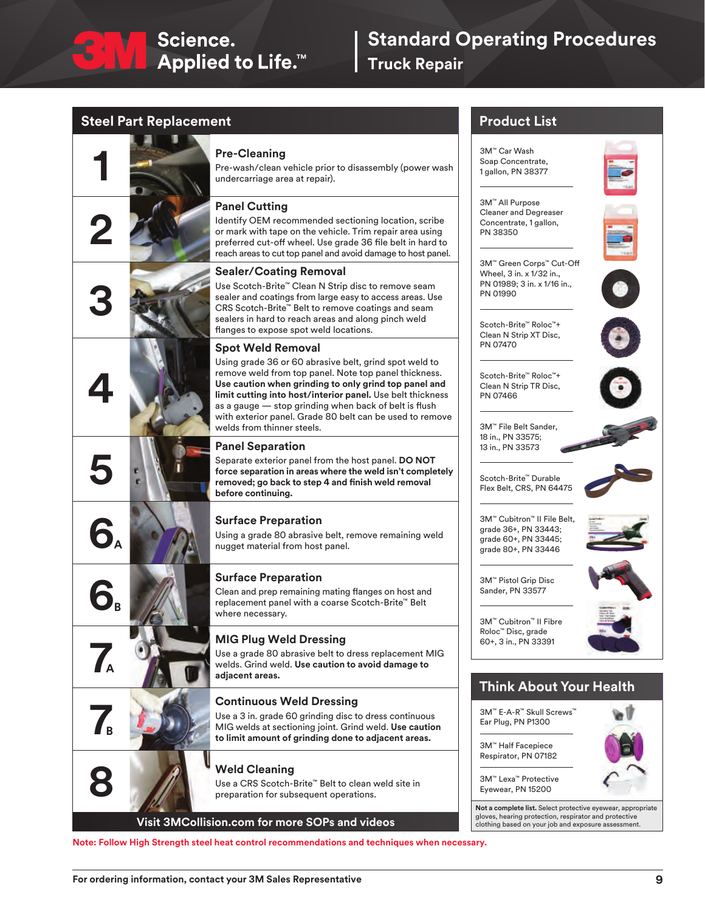

## **Standard Operating Procedures**

**Truck Repair**

#### **Steel Part Replacement**

# **1 Pre-Cleaning**<br>Pre-wash/clean v<br>undercarriage are **2 3 4 5 7 Continuous Weld Dressing**<br>Use a 3 in. grade 60 grinding disc t<br>MIG welds at sectioning joint. Grin<br>to limit amount of grinding done t **A A B B**

Pre-wash/clean vehicle prior to disassembly (power wash undercarriage area at repair).

#### **Panel Cutting**

Identify OEM recommended sectioning location, scribe or mark with tape on the vehicle. Trim repair area using preferred cut-off wheel. Use grade 36 file belt in hard to reach areas to cut top panel and avoid damage to host panel.

#### **Sealer/Coating Removal**

Use Scotch-Brite™ Clean N Strip disc to remove seam sealer and coatings from large easy to access areas. Use CRS Scotch-Brite™ Belt to remove coatings and seam sealers in hard to reach areas and along pinch weld flanges to expose spot weld locations.

#### **Spot Weld Removal**

Using grade 36 or 60 abrasive belt, grind spot weld to remove weld from top panel. Note top panel thickness. **Use caution when grinding to only grind top panel and limit cutting into host/interior panel.** Use belt thickness as a gauge — stop grinding when back of belt is flush with exterior panel. Grade 80 belt can be used to remove welds from thinner steels.

#### **Panel Separation**

Separate exterior panel from the host panel. **DO NOT force separation in areas where the weld isn't completely removed; go back to step 4 and finish weld removal before continuing.**

#### **6 Surface Preparation**

Using a grade 80 abrasive belt, remove remaining weld nugget material from host panel.

#### **6 Surface Preparation**

Clean and prep remaining mating flanges on host and replacement panel with a coarse Scotch-Brite™ Belt where necessary.

#### **7 MIG Plug Weld Dressing**

Use a grade 80 abrasive belt to dress replacement MIG welds. Grind weld. **Use caution to avoid damage to adjacent areas.**

Use a 3 in. grade 60 grinding disc to dress continuous MIG welds at sectioning joint. Grind weld. **Use caution to limit amount of grinding done to adjacent areas.**

#### **8 Weld Cleaning**

Use a CRS Scotch-Brite™ Belt to clean weld site in preparation for subsequent operations.

**Visit 3MCollision.com for more SOPs and videos**

**Note: Follow High Strength steel heat control recommendations and techniques when necessary.**

#### **Product List**

3M™ Car Wash Soap Concentrate, 1 gallon, PN 38377

3M™ All Purpose Cleaner and Degreaser Concentrate, 1 gallon, PN 38350



3M™ Green Corps™ Cut-Off Wheel, 3 in. x 1/32 in., PN 01989; 3 in. x 1/16 in., PN 01990



Scotch-Brite™ Roloc™+ Clean N Strip XT Disc, PN 07470

Scotch-Brite™ Roloc™+ Clean N Strip TR Disc, PN 07466

3M™ File Belt Sander, 18 in., PN 33575; 13 in., PN 33573



Scotch-Brite™ Durable Flex Belt, CRS, PN 64475



3M™ Cubitron™ II File Belt, grade 36+, PN 33443; grade 60+, PN 33445; grade 80+, PN 33446



3M™ Pistol Grip Disc Sander, PN 33577



3M™ Cubitron™ II Fibre Roloc™ Disc, grade 60+, 3 in., PN 33391

#### **Think About Your Health**

3M™ E-A-R™ Skull Screws™ Ear Plug, PN P1300 3M™ Lexa™ Protective Eyewear, PN 15200 3M™ Half Facepiece Respirator, PN 07182

**Not a complete list.** Select protective eyewear, appropriate gloves, hearing protection, respirator and protectiv clothing based on your job and exposure assessment.